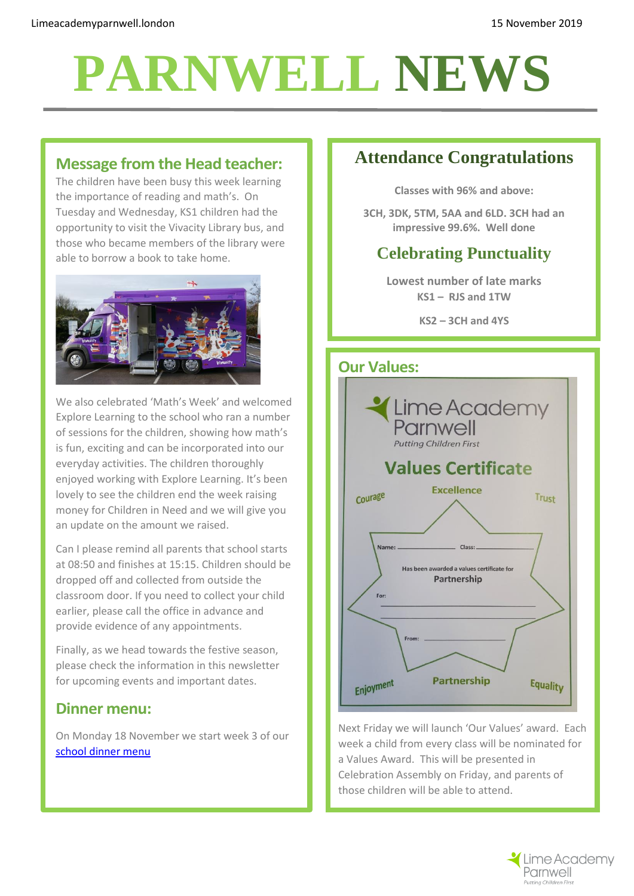# **PARNWELL NEWS**

# **Message from the Head teacher:**

The children have been busy this week learning the importance of reading and math's. On Tuesday and Wednesday, KS1 children had the opportunity to visit the Vivacity Library bus, and those who became members of the library were able to borrow a book to take home.



We also celebrated 'Math's Week' and welcomed Explore Learning to the school who ran a number of sessions for the children, showing how math's is fun, exciting and can be incorporated into our everyday activities. The children thoroughly enjoyed working with Explore Learning. It's been lovely to see the children end the week raising money for Children in Need and we will give you an update on the amount we raised.

Can I please remind all parents that school starts at 08:50 and finishes at 15:15. Children should be dropped off and collected from outside the classroom door. If you need to collect your child earlier, please call the office in advance and provide evidence of any appointments.

Finally, as we head towards the festive season, please check the information in this newsletter for upcoming events and important dates.

# **Dinner menu:**

On Monday 18 November we start week 3 of our [school dinner menu](http://limeacademyparnwell.london/media/2196/dinner-menu-2019-09-05.pdf)

# **Attendance Congratulations**

**Classes with 96% and above:**

**3CH, 3DK, 5TM, 5AA and 6LD. 3CH had an impressive 99.6%. Well done**

# **Celebrating Punctuality**

**Lowest number of late marks KS1 – RJS and 1TW**

**KS2 – 3CH and 4YS**



Next Friday we will launch 'Our Values' award. Each week a child from every class will be nominated for a Values Award. This will be presented in Celebration Assembly on Friday, and parents of those children will be able to attend.

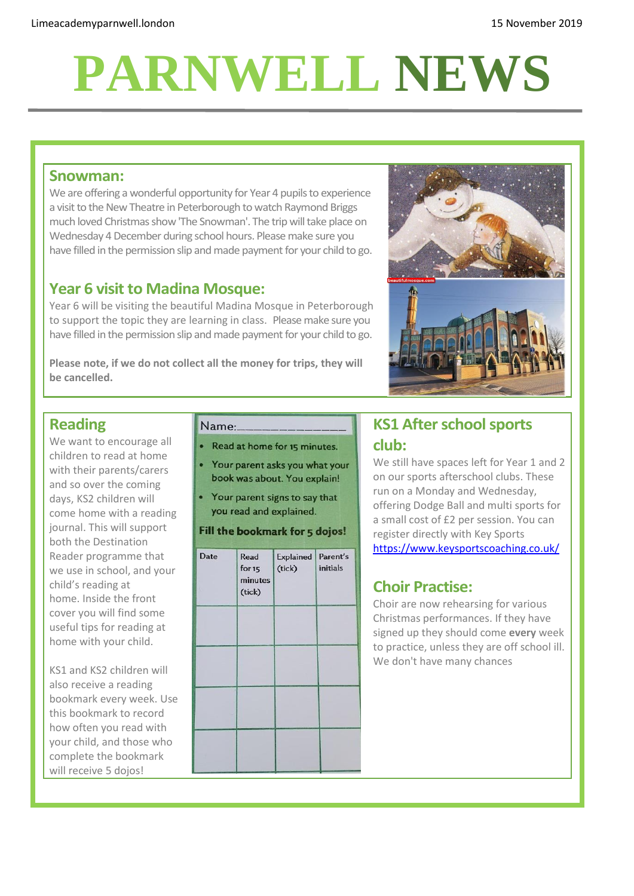# **PARNWELL NEWS**

#### **Snowman:**

We are offering a wonderful opportunity for Year 4 pupils to experience a visit to the New Theatre in Peterborough to watch Raymond Briggs much loved Christmas show 'The Snowman'. The trip will take place on Wednesday 4 December during school hours. Please make sure you have filled in the permission slip and made payment for your child to go.

# **Year 6 visit to Madina Mosque:**

Year 6 will be visiting the beautiful Madina Mosque in Peterborough to support the topic they are learning in class. Please make sure you have filled in the permission slip and made payment for your child to go.

**Please note, if we do not collect all the money for trips, they will be cancelled.**



# **Reading**

We want to encourage all children to read at home with their parents/carers and so over the coming days, KS2 children will come home with a reading journal. This will support both the Destination Reader programme that we use in school, and your child's reading at home. Inside the front cover you will find some useful tips for reading at home with your child.

KS1 and KS2 children will also receive a reading bookmark every week. Use this bookmark to record how often you read with your child, and those who complete the bookmark will receive 5 dojos!

#### Name:

- Read at home for 15 minutes.
- Your parent asks you what your book was about. You explain!
- Your parent signs to say that you read and explained.

#### Fill the bookmark for 5 dojos!

| Date | Read<br>for $15$<br>minutes<br>(tick) | Explained Parent's<br>(tick) | <i>initials</i> |
|------|---------------------------------------|------------------------------|-----------------|
|      |                                       |                              |                 |
|      |                                       |                              |                 |
|      |                                       |                              |                 |

# **KS1 After school sports club:**

We still have spaces left for Year 1 and 2 on our sports afterschool clubs. These run on a Monday and Wednesday, offering Dodge Ball and multi sports for a small cost of £2 per session. You can register directly with Key Sports <https://www.keysportscoaching.co.uk/>

# **Choir Practise:**

Choir are now rehearsing for various Christmas performances. If they have signed up they should come **every** week to practice, unless they are off school ill. We don't have many chances